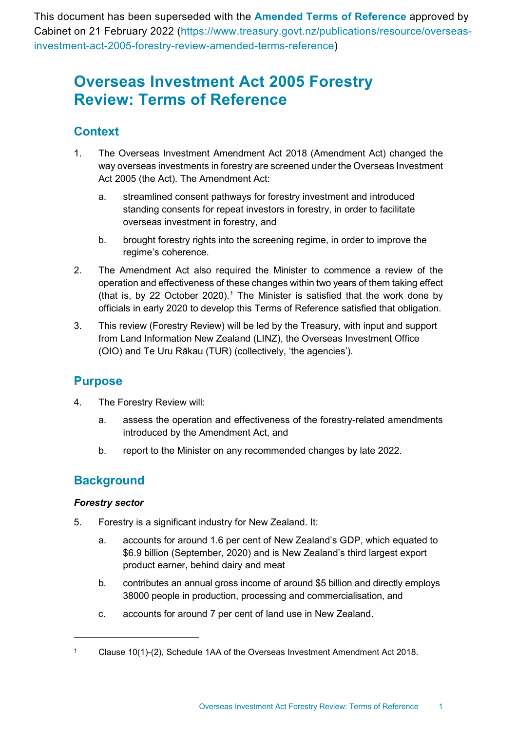This document has been superseded with the **[Amended Terms of Reference](https://www.treasury.govt.nz/publications/resource/overseas-investment-act-2005-forestry-review-amended-terms-reference)** approved by Cabinet on 21 February 2022 (https://www.treasury.govt.nz/publications/resource/overseasinvestment-act-2005-forestry-review-amended-terms-reference)

# **Overseas Investment Act 2005 Forestry Review: Terms of Reference**

# **Context**

- 1. The Overseas Investment Amendment Act 2018 (Amendment Act) changed the way overseas investments in forestry are screened under the Overseas Investment Act 2005 (the Act). The Amendment Act:
	- a. streamlined consent pathways for forestry investment and introduced standing consents for repeat investors in forestry, in order to facilitate overseas investment in forestry, and
	- b. brought forestry rights into the screening regime, in order to improve the regime's coherence.
- 2. The Amendment Act also required the Minister to commence a review of the operation and effectiveness of these changes within two years of them taking effect (that is, by 22 October 2020).<sup>[1](#page-0-0)</sup> The Minister is satisfied that the work done by officials in early 2020 to develop this Terms of Reference satisfied that obligation.
- 3. This review (Forestry Review) will be led by the Treasury, with input and support from Land Information New Zealand (LINZ), the Overseas Investment Office (OIO) and Te Uru Rākau (TUR) (collectively, 'the agencies').

## **Purpose**

- 4. The Forestry Review will:
	- a. assess the operation and effectiveness of the forestry-related amendments introduced by the Amendment Act, and
	- b. report to the Minister on any recommended changes by late 2022.

# **Background**

### *Forestry sector*

- 5. Forestry is a significant industry for New Zealand. It:
	- a. accounts for around 1.6 per cent of New Zealand's GDP, which equated to \$6.9 billion (September, 2020) and is New Zealand's third largest export product earner, behind dairy and meat
	- b. contributes an annual gross income of around \$5 billion and directly employs 38000 people in production, processing and commercialisation, and
	- c. accounts for around 7 per cent of land use in New Zealand.

<span id="page-0-0"></span><sup>1</sup> Clause 10(1)-(2), Schedule 1AA of the Overseas Investment Amendment Act 2018.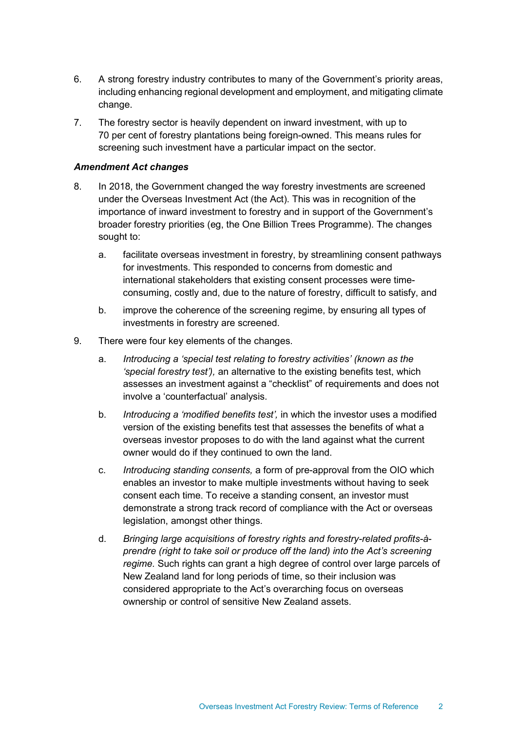- 6. A strong forestry industry contributes to many of the Government's priority areas, including enhancing regional development and employment, and mitigating climate change.
- 7. The forestry sector is heavily dependent on inward investment, with up to 70 per cent of forestry plantations being foreign-owned. This means rules for screening such investment have a particular impact on the sector.

#### *Amendment Act changes*

- 8. In 2018, the Government changed the way forestry investments are screened under the Overseas Investment Act (the Act). This was in recognition of the importance of inward investment to forestry and in support of the Government's broader forestry priorities (eg, the One Billion Trees Programme). The changes sought to:
	- a. facilitate overseas investment in forestry, by streamlining consent pathways for investments. This responded to concerns from domestic and international stakeholders that existing consent processes were timeconsuming, costly and, due to the nature of forestry, difficult to satisfy, and
	- b. improve the coherence of the screening regime, by ensuring all types of investments in forestry are screened.
- 9. There were four key elements of the changes.
	- a. *Introducing a 'special test relating to forestry activities' (known as the 'special forestry test'),* an alternative to the existing benefits test, which assesses an investment against a "checklist" of requirements and does not involve a 'counterfactual' analysis.
	- b. *Introducing a 'modified benefits test',* in which the investor uses a modified version of the existing benefits test that assesses the benefits of what a overseas investor proposes to do with the land against what the current owner would do if they continued to own the land.
	- c. *Introducing standing consents,* a form of pre-approval from the OIO which enables an investor to make multiple investments without having to seek consent each time. To receive a standing consent, an investor must demonstrate a strong track record of compliance with the Act or overseas legislation, amongst other things.
	- d. *Bringing large acquisitions of forestry rights and forestry-related profits-àprendre (right to take soil or produce off the land) into the Act's screening regime.* Such rights can grant a high degree of control over large parcels of New Zealand land for long periods of time, so their inclusion was considered appropriate to the Act's overarching focus on overseas ownership or control of sensitive New Zealand assets.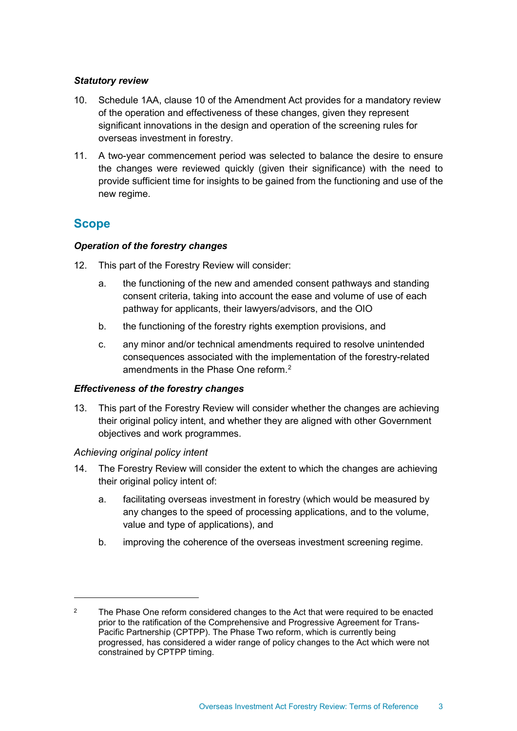#### *Statutory review*

- 10. Schedule 1AA, clause 10 of the Amendment Act provides for a mandatory review of the operation and effectiveness of these changes, given they represent significant innovations in the design and operation of the screening rules for overseas investment in forestry.
- 11. A two-year commencement period was selected to balance the desire to ensure the changes were reviewed quickly (given their significance) with the need to provide sufficient time for insights to be gained from the functioning and use of the new regime.

### **Scope**

#### *Operation of the forestry changes*

- 12. This part of the Forestry Review will consider:
	- a. the functioning of the new and amended consent pathways and standing consent criteria, taking into account the ease and volume of use of each pathway for applicants, their lawyers/advisors, and the OIO
	- b. the functioning of the forestry rights exemption provisions, and
	- c. any minor and/or technical amendments required to resolve unintended consequences associated with the implementation of the forestry-related amendments in the Phase One reform.[2](#page-2-0)

#### *Effectiveness of the forestry changes*

13. This part of the Forestry Review will consider whether the changes are achieving their original policy intent, and whether they are aligned with other Government objectives and work programmes.

### *Achieving original policy intent*

- 14. The Forestry Review will consider the extent to which the changes are achieving their original policy intent of:
	- a. facilitating overseas investment in forestry (which would be measured by any changes to the speed of processing applications, and to the volume, value and type of applications), and
	- b. improving the coherence of the overseas investment screening regime.

<span id="page-2-0"></span> $2^2$  The Phase One reform considered changes to the Act that were required to be enacted prior to the ratification of the Comprehensive and Progressive Agreement for Trans-Pacific Partnership (CPTPP). The Phase Two reform, which is currently being progressed, has considered a wider range of policy changes to the Act which were not constrained by CPTPP timing.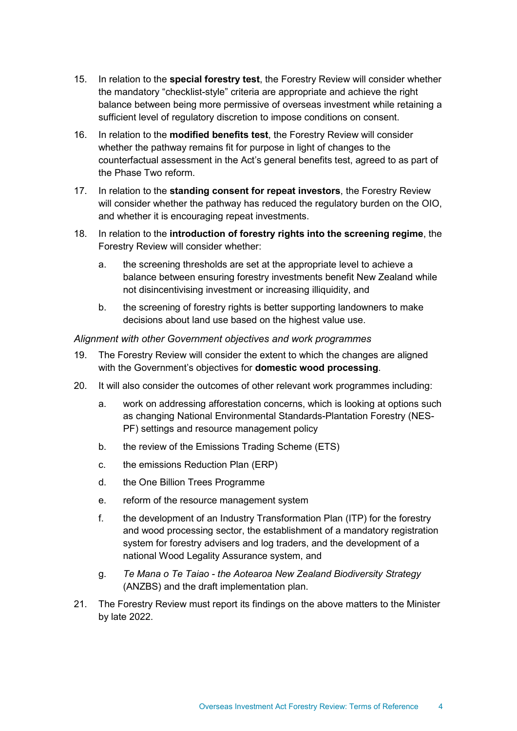- 15. In relation to the **special forestry test**, the Forestry Review will consider whether the mandatory "checklist-style" criteria are appropriate and achieve the right balance between being more permissive of overseas investment while retaining a sufficient level of regulatory discretion to impose conditions on consent.
- 16. In relation to the **modified benefits test**, the Forestry Review will consider whether the pathway remains fit for purpose in light of changes to the counterfactual assessment in the Act's general benefits test, agreed to as part of the Phase Two reform.
- 17. In relation to the **standing consent for repeat investors**, the Forestry Review will consider whether the pathway has reduced the regulatory burden on the OIO, and whether it is encouraging repeat investments.
- 18. In relation to the **introduction of forestry rights into the screening regime**, the Forestry Review will consider whether:
	- a. the screening thresholds are set at the appropriate level to achieve a balance between ensuring forestry investments benefit New Zealand while not disincentivising investment or increasing illiquidity, and
	- b. the screening of forestry rights is better supporting landowners to make decisions about land use based on the highest value use.

*Alignment with other Government objectives and work programmes*

- 19. The Forestry Review will consider the extent to which the changes are aligned with the Government's objectives for **domestic wood processing**.
- 20. It will also consider the outcomes of other relevant work programmes including:
	- a. work on addressing afforestation concerns, which is looking at options such as changing National Environmental Standards-Plantation Forestry (NES-PF) settings and resource management policy
	- b. the review of the Emissions Trading Scheme (ETS)
	- c. the emissions Reduction Plan (ERP)
	- d. the One Billion Trees Programme
	- e. reform of the resource management system
	- f. the development of an Industry Transformation Plan (ITP) for the forestry and wood processing sector, the establishment of a mandatory registration system for forestry advisers and log traders, and the development of a national Wood Legality Assurance system, and
	- g. *Te Mana o Te Taiao the Aotearoa New Zealand Biodiversity Strategy* (ANZBS) and the draft implementation plan.
- 21. The Forestry Review must report its findings on the above matters to the Minister by late 2022.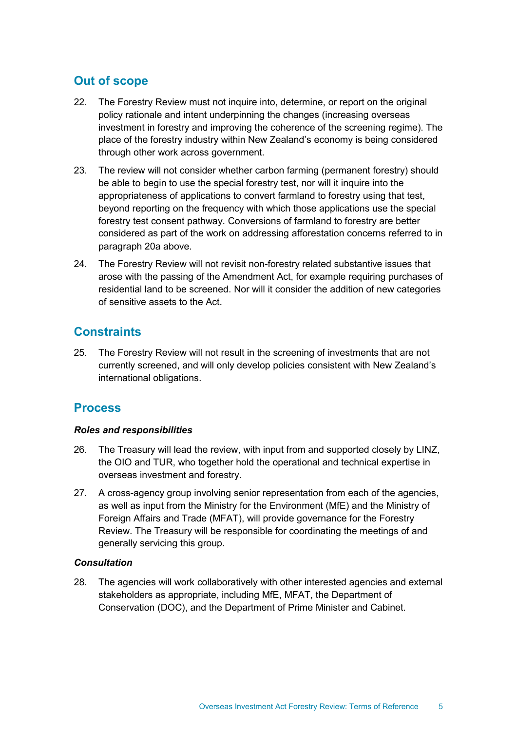# **Out of scope**

- 22. The Forestry Review must not inquire into, determine, or report on the original policy rationale and intent underpinning the changes (increasing overseas investment in forestry and improving the coherence of the screening regime). The place of the forestry industry within New Zealand's economy is being considered through other work across government.
- 23. The review will not consider whether carbon farming (permanent forestry) should be able to begin to use the special forestry test, nor will it inquire into the appropriateness of applications to convert farmland to forestry using that test, beyond reporting on the frequency with which those applications use the special forestry test consent pathway. Conversions of farmland to forestry are better considered as part of the work on addressing afforestation concerns referred to in paragraph 20a above.
- 24. The Forestry Review will not revisit non-forestry related substantive issues that arose with the passing of the Amendment Act, for example requiring purchases of residential land to be screened. Nor will it consider the addition of new categories of sensitive assets to the Act.

## **Constraints**

25. The Forestry Review will not result in the screening of investments that are not currently screened, and will only develop policies consistent with New Zealand's international obligations.

# **Process**

### *Roles and responsibilities*

- 26. The Treasury will lead the review, with input from and supported closely by LINZ, the OIO and TUR, who together hold the operational and technical expertise in overseas investment and forestry.
- 27. A cross-agency group involving senior representation from each of the agencies, as well as input from the Ministry for the Environment (MfE) and the Ministry of Foreign Affairs and Trade (MFAT), will provide governance for the Forestry Review. The Treasury will be responsible for coordinating the meetings of and generally servicing this group.

### *Consultation*

28. The agencies will work collaboratively with other interested agencies and external stakeholders as appropriate, including MfE, MFAT, the Department of Conservation (DOC), and the Department of Prime Minister and Cabinet.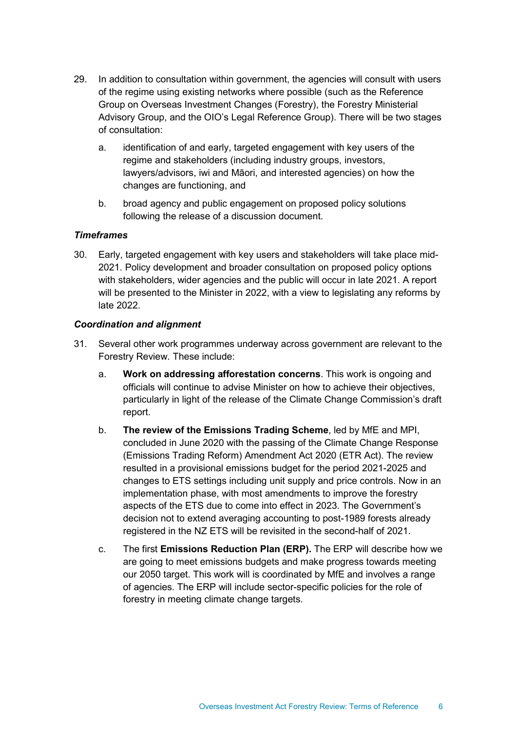- 29. In addition to consultation within government, the agencies will consult with users of the regime using existing networks where possible (such as the Reference Group on Overseas Investment Changes (Forestry), the Forestry Ministerial Advisory Group, and the OIO's Legal Reference Group). There will be two stages of consultation:
	- a. identification of and early, targeted engagement with key users of the regime and stakeholders (including industry groups, investors, lawyers/advisors, iwi and Māori, and interested agencies) on how the changes are functioning, and
	- b. broad agency and public engagement on proposed policy solutions following the release of a discussion document.

#### *Timeframes*

30. Early, targeted engagement with key users and stakeholders will take place mid-2021. Policy development and broader consultation on proposed policy options with stakeholders, wider agencies and the public will occur in late 2021. A report will be presented to the Minister in 2022, with a view to legislating any reforms by late 2022.

#### *Coordination and alignment*

- 31. Several other work programmes underway across government are relevant to the Forestry Review. These include:
	- a. **Work on addressing afforestation concerns**. This work is ongoing and officials will continue to advise Minister on how to achieve their objectives, particularly in light of the release of the Climate Change Commission's draft report.
	- b. **The review of the Emissions Trading Scheme**, led by MfE and MPI, concluded in June 2020 with the passing of the Climate Change Response (Emissions Trading Reform) Amendment Act 2020 (ETR Act). The review resulted in a provisional emissions budget for the period 2021-2025 and changes to ETS settings including unit supply and price controls. Now in an implementation phase, with most amendments to improve the forestry aspects of the ETS due to come into effect in 2023. The Government's decision not to extend averaging accounting to post-1989 forests already registered in the NZ ETS will be revisited in the second-half of 2021.
	- c. The first **Emissions Reduction Plan (ERP).** The ERP will describe how we are going to meet emissions budgets and make progress towards meeting our 2050 target. This work will is coordinated by MfE and involves a range of agencies. The ERP will include sector-specific policies for the role of forestry in meeting climate change targets.